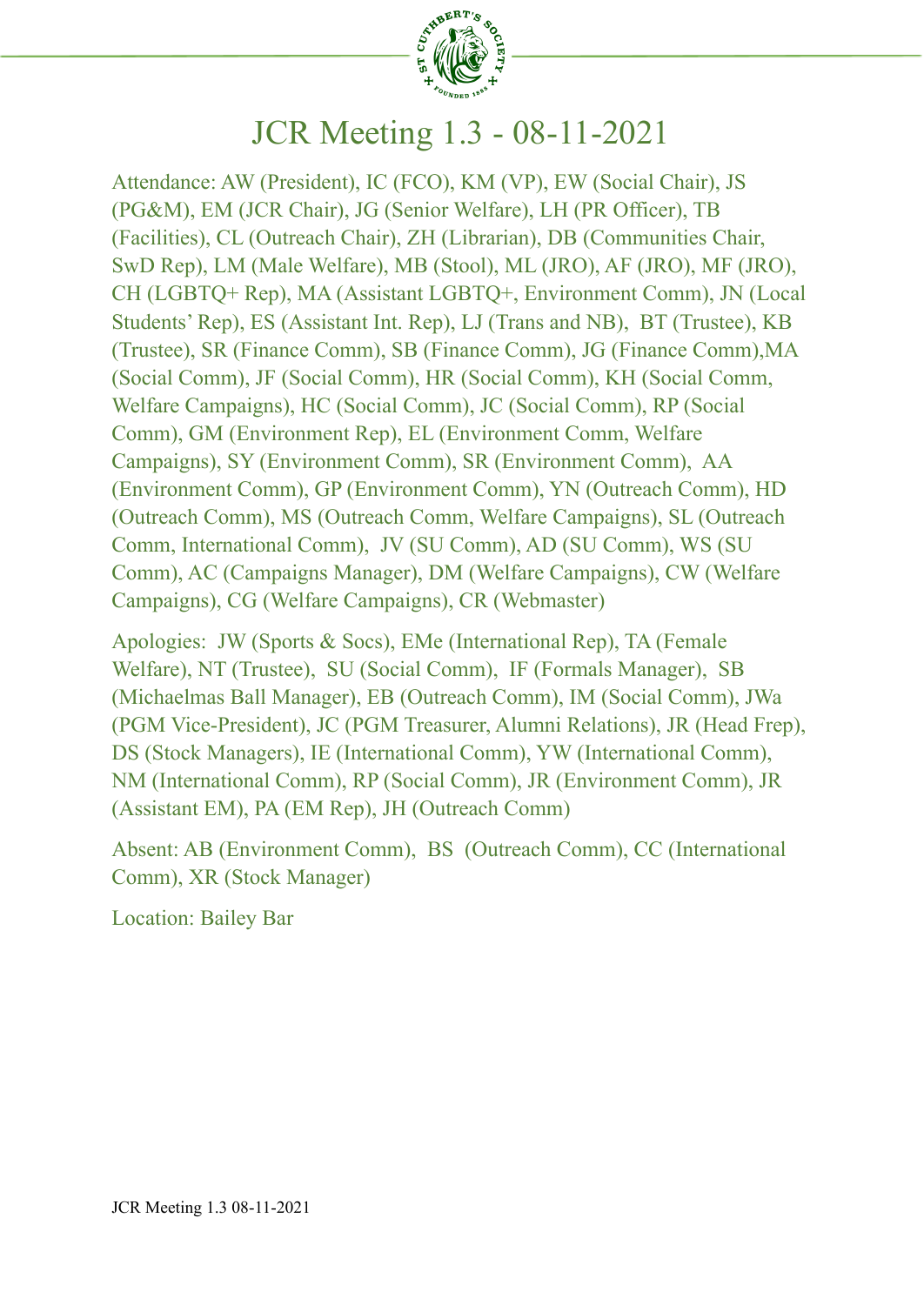

# JCR Meeting 1.3 - 08-11-2021

Attendance: AW (President), IC (FCO), KM (VP), EW (Social Chair), JS (PG&M), EM (JCR Chair), JG (Senior Welfare), LH (PR Officer), TB (Facilities), CL (Outreach Chair), ZH (Librarian), DB (Communities Chair, SwD Rep), LM (Male Welfare), MB (Stool), ML (JRO), AF (JRO), MF (JRO), CH (LGBTQ+ Rep), MA (Assistant LGBTQ+, Environment Comm), JN (Local Students' Rep), ES (Assistant Int. Rep), LJ (Trans and NB), BT (Trustee), KB (Trustee), SR (Finance Comm), SB (Finance Comm), JG (Finance Comm),MA (Social Comm), JF (Social Comm), HR (Social Comm), KH (Social Comm, Welfare Campaigns), HC (Social Comm), JC (Social Comm), RP (Social Comm), GM (Environment Rep), EL (Environment Comm, Welfare Campaigns), SY (Environment Comm), SR (Environment Comm), AA (Environment Comm), GP (Environment Comm), YN (Outreach Comm), HD (Outreach Comm), MS (Outreach Comm, Welfare Campaigns), SL (Outreach Comm, International Comm), JV (SU Comm), AD (SU Comm), WS (SU Comm), AC (Campaigns Manager), DM (Welfare Campaigns), CW (Welfare Campaigns), CG (Welfare Campaigns), CR (Webmaster)

Apologies: JW (Sports & Socs), EMe (International Rep), TA (Female Welfare), NT (Trustee), SU (Social Comm), IF (Formals Manager), SB (Michaelmas Ball Manager), EB (Outreach Comm), IM (Social Comm), JWa (PGM Vice-President), JC (PGM Treasurer, Alumni Relations), JR (Head Frep), DS (Stock Managers), IE (International Comm), YW (International Comm), NM (International Comm), RP (Social Comm), JR (Environment Comm), JR (Assistant EM), PA (EM Rep), JH (Outreach Comm)

Absent: AB (Environment Comm), BS (Outreach Comm), CC (International Comm), XR (Stock Manager)

Location: Bailey Bar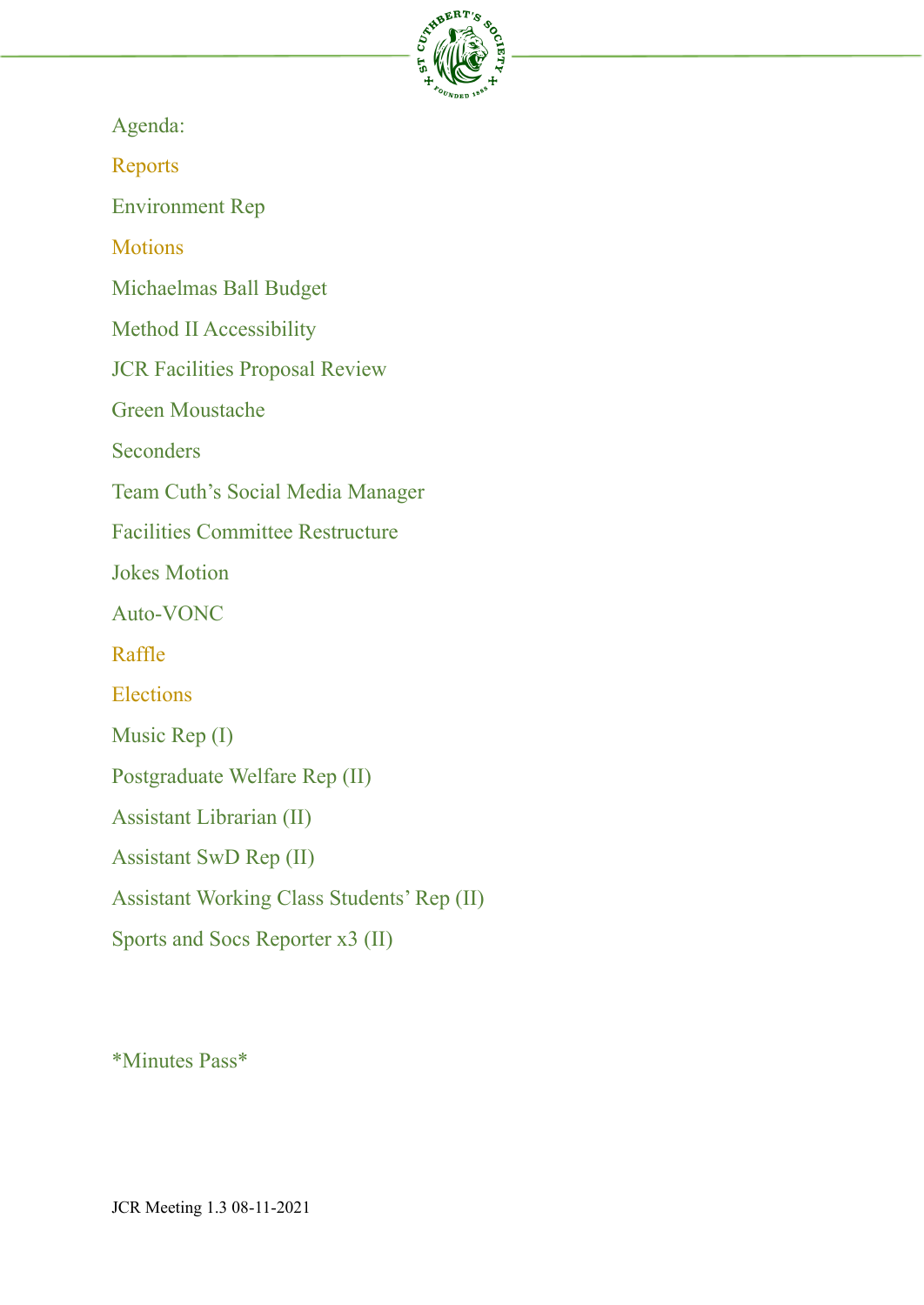

Agenda:

Reports

Environment Rep

**Motions** 

Michaelmas Ball Budget

Method II Accessibility

JCR Facilities Proposal Review

Green Moustache

**Seconders** 

Team Cuth's Social Media Manager

Facilities Committee Restructure

Jokes Motion

Auto-VONC

Raffle

Elections

Music Rep (I)

Postgraduate Welfare Rep (II)

Assistant Librarian (II)

Assistant SwD Rep (II)

Assistant Working Class Students' Rep (II)

Sports and Socs Reporter x3 (II)

\*Minutes Pass\*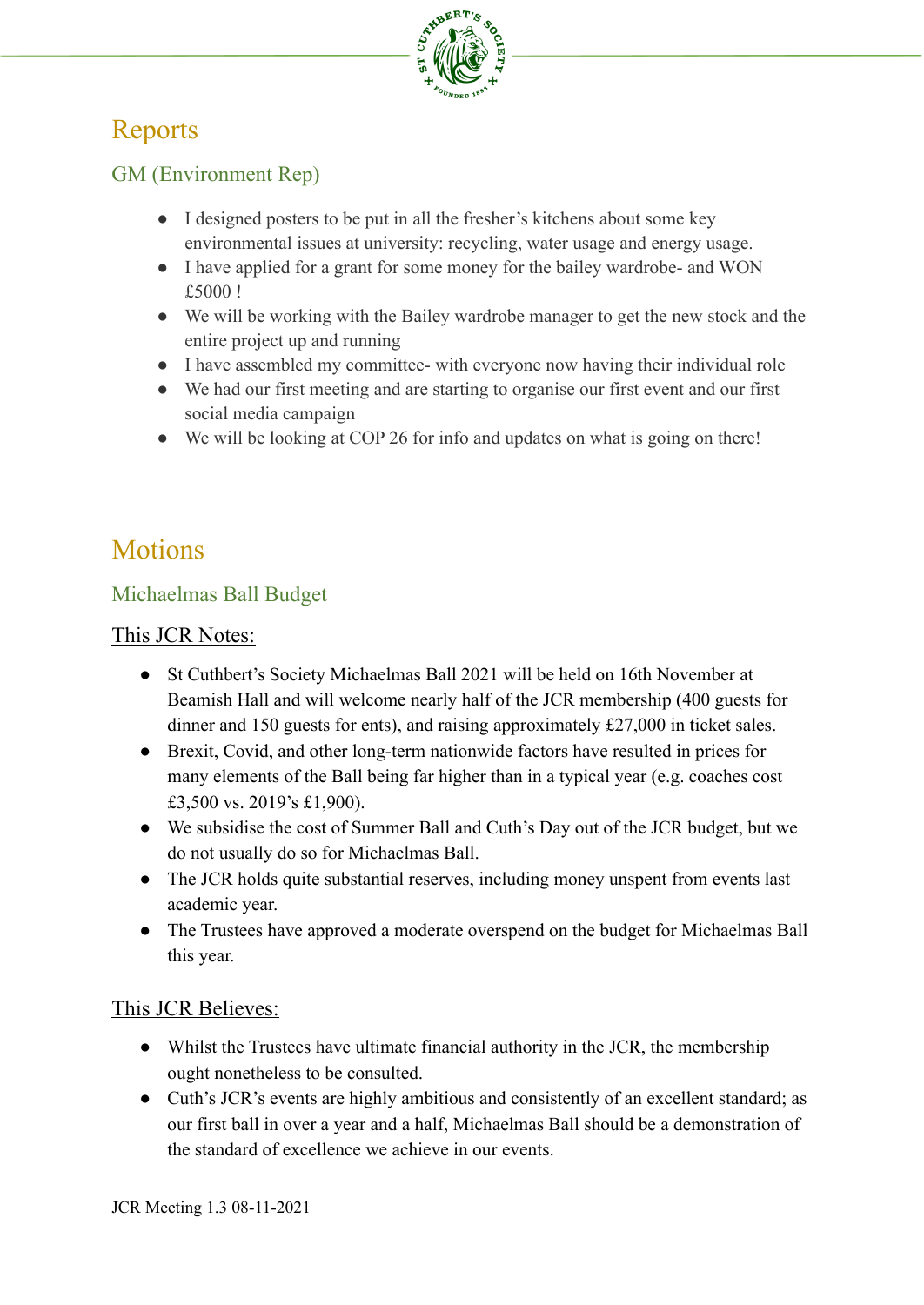

# Reports

# GM (Environment Rep)

- I designed posters to be put in all the fresher's kitchens about some key environmental issues at university: recycling, water usage and energy usage.
- I have applied for a grant for some money for the bailey wardrobe- and WON £5000 !
- We will be working with the Bailey wardrobe manager to get the new stock and the entire project up and running
- I have assembled my committee- with everyone now having their individual role
- We had our first meeting and are starting to organise our first event and our first social media campaign
- We will be looking at COP 26 for info and updates on what is going on there!

# **Motions**

# Michaelmas Ball Budget

# This JCR Notes:

- St Cuthbert's Society Michaelmas Ball 2021 will be held on 16th November at Beamish Hall and will welcome nearly half of the JCR membership (400 guests for dinner and 150 guests for ents), and raising approximately £27,000 in ticket sales.
- Brexit, Covid, and other long-term nationwide factors have resulted in prices for many elements of the Ball being far higher than in a typical year (e.g. coaches cost £3,500 vs. 2019's £1,900).
- We subsidise the cost of Summer Ball and Cuth's Day out of the JCR budget, but we do not usually do so for Michaelmas Ball.
- The JCR holds quite substantial reserves, including money unspent from events last academic year.
- The Trustees have approved a moderate overspend on the budget for Michaelmas Ball this year.

# This JCR Believes:

- Whilst the Trustees have ultimate financial authority in the JCR, the membership ought nonetheless to be consulted.
- Cuth's JCR's events are highly ambitious and consistently of an excellent standard; as our first ball in over a year and a half, Michaelmas Ball should be a demonstration of the standard of excellence we achieve in our events.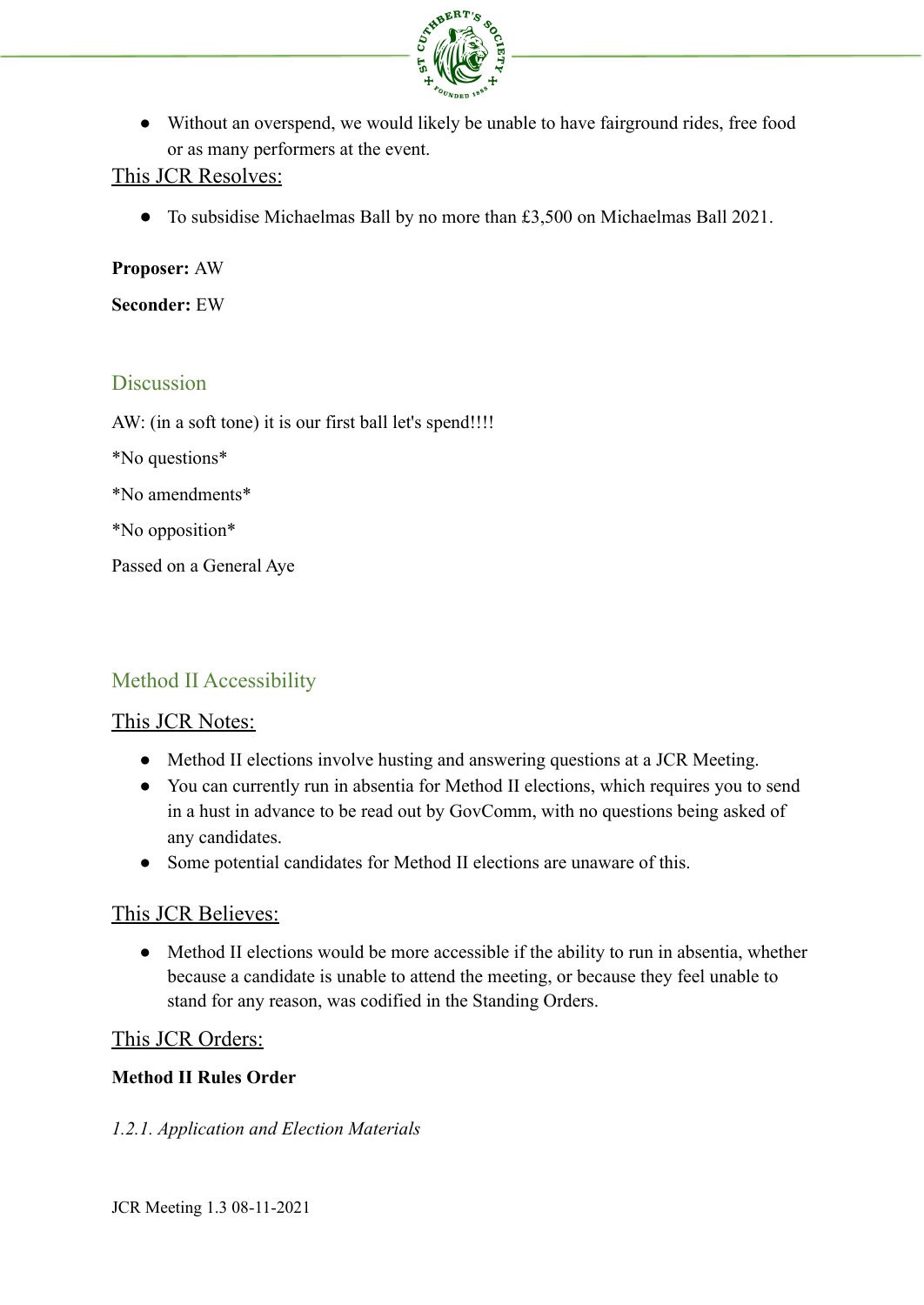

• Without an overspend, we would likely be unable to have fairground rides, free food or as many performers at the event.

### This JCR Resolves:

● To subsidise Michaelmas Ball by no more than £3,500 on Michaelmas Ball 2021.

**Proposer:** AW

**Seconder:** EW

### **Discussion**

AW: (in a soft tone) it is our first ball let's spend!!!!

\*No questions\*

\*No amendments\*

\*No opposition\*

Passed on a General Aye

# Method II Accessibility

#### This JCR Notes:

- Method II elections involve husting and answering questions at a JCR Meeting.
- You can currently run in absentia for Method II elections, which requires you to send in a hust in advance to be read out by GovComm, with no questions being asked of any candidates.
- Some potential candidates for Method II elections are unaware of this.

## This JCR Believes:

• Method II elections would be more accessible if the ability to run in absentia, whether because a candidate is unable to attend the meeting, or because they feel unable to stand for any reason, was codified in the Standing Orders.

#### This JCR Orders:

#### **Method II Rules Order**

#### *1.2.1. Application and Election Materials*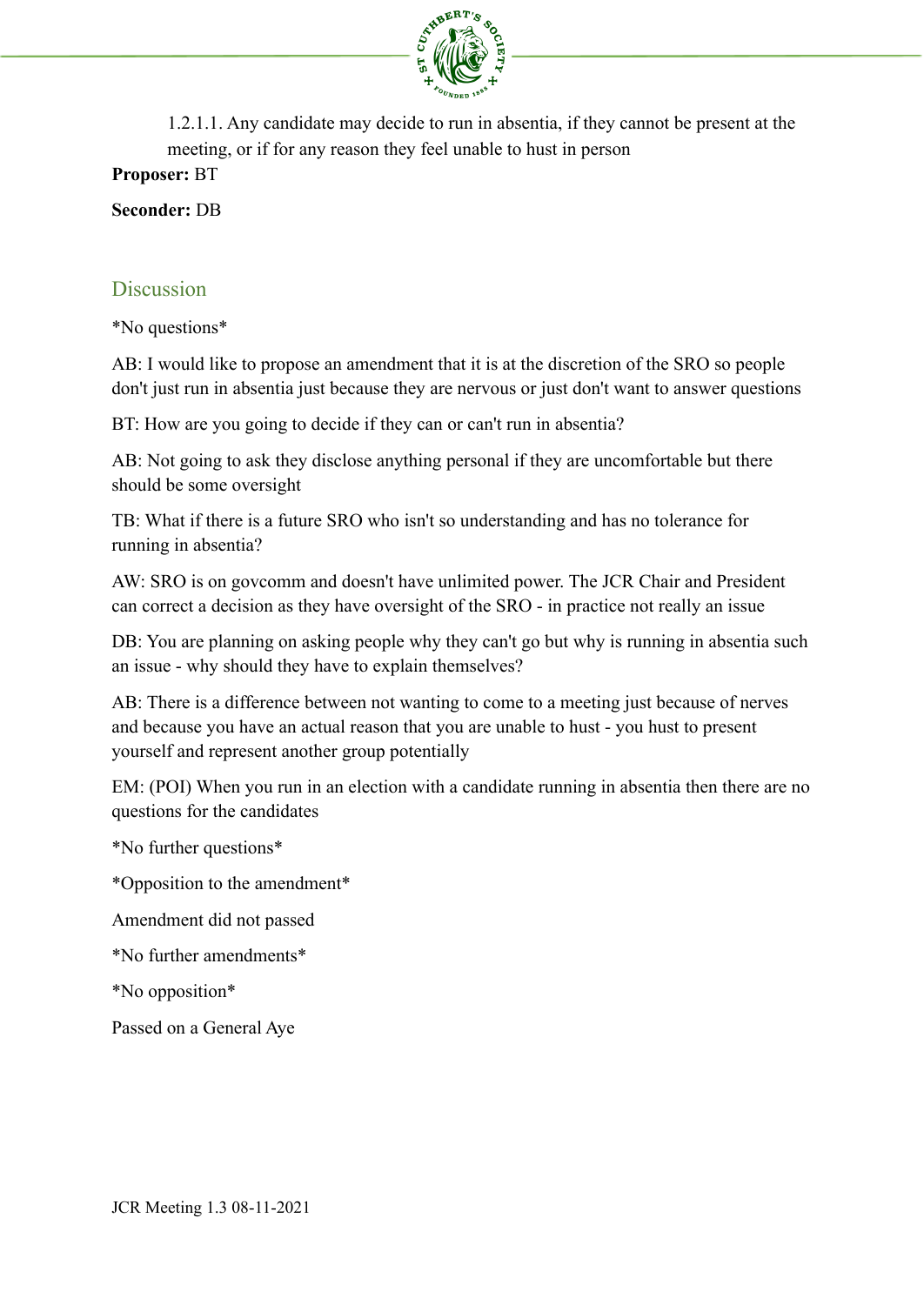

1.2.1.1. Any candidate may decide to run in absentia, if they cannot be present at the meeting, or if for any reason they feel unable to hust in person

**Proposer:** BT

**Seconder:** DB

# **Discussion**

\*No questions\*

AB: I would like to propose an amendment that it is at the discretion of the SRO so people don't just run in absentia just because they are nervous or just don't want to answer questions

BT: How are you going to decide if they can or can't run in absentia?

AB: Not going to ask they disclose anything personal if they are uncomfortable but there should be some oversight

TB: What if there is a future SRO who isn't so understanding and has no tolerance for running in absentia?

AW: SRO is on govcomm and doesn't have unlimited power. The JCR Chair and President can correct a decision as they have oversight of the SRO - in practice not really an issue

DB: You are planning on asking people why they can't go but why is running in absentia such an issue - why should they have to explain themselves?

AB: There is a difference between not wanting to come to a meeting just because of nerves and because you have an actual reason that you are unable to hust - you hust to present yourself and represent another group potentially

EM: (POI) When you run in an election with a candidate running in absentia then there are no questions for the candidates

\*No further questions\*

\*Opposition to the amendment\*

Amendment did not passed

\*No further amendments\*

\*No opposition\*

Passed on a General Aye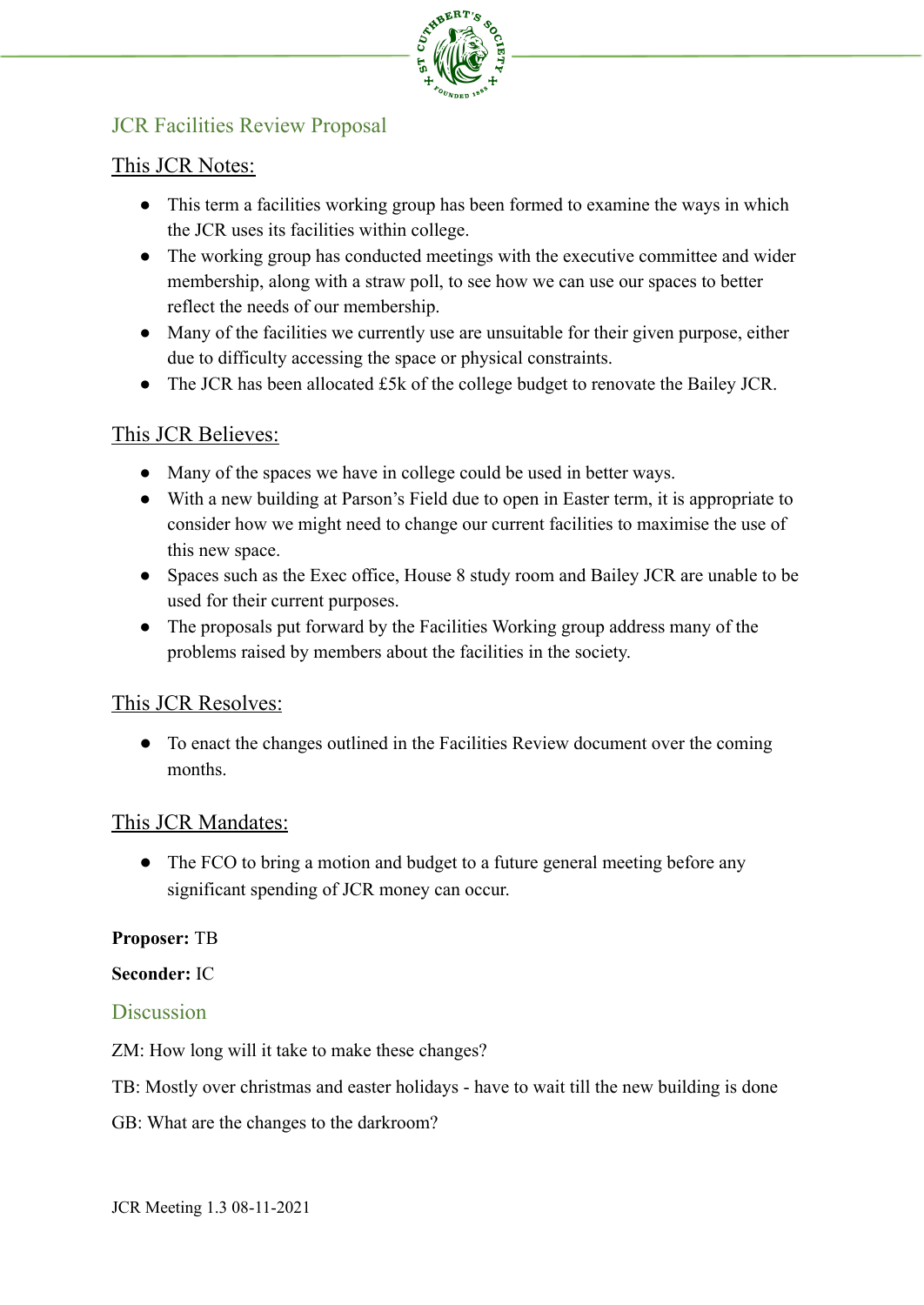

# JCR Facilities Review Proposal

# This JCR Notes:

- This term a facilities working group has been formed to examine the ways in which the JCR uses its facilities within college.
- The working group has conducted meetings with the executive committee and wider membership, along with a straw poll, to see how we can use our spaces to better reflect the needs of our membership.
- Many of the facilities we currently use are unsuitable for their given purpose, either due to difficulty accessing the space or physical constraints.
- The JCR has been allocated £5k of the college budget to renovate the Bailey JCR.

# This JCR Believes:

- Many of the spaces we have in college could be used in better ways.
- With a new building at Parson's Field due to open in Easter term, it is appropriate to consider how we might need to change our current facilities to maximise the use of this new space.
- Spaces such as the Exec office, House 8 study room and Bailey JCR are unable to be used for their current purposes.
- The proposals put forward by the Facilities Working group address many of the problems raised by members about the facilities in the society.

# This JCR Resolves:

● To enact the changes outlined in the Facilities Review document over the coming months.

## This JCR Mandates:

• The FCO to bring a motion and budget to a future general meeting before any significant spending of JCR money can occur.

## **Proposer:** TB

## **Seconder:** IC

## **Discussion**

- ZM: How long will it take to make these changes?
- TB: Mostly over christmas and easter holidays have to wait till the new building is done
- GB: What are the changes to the darkroom?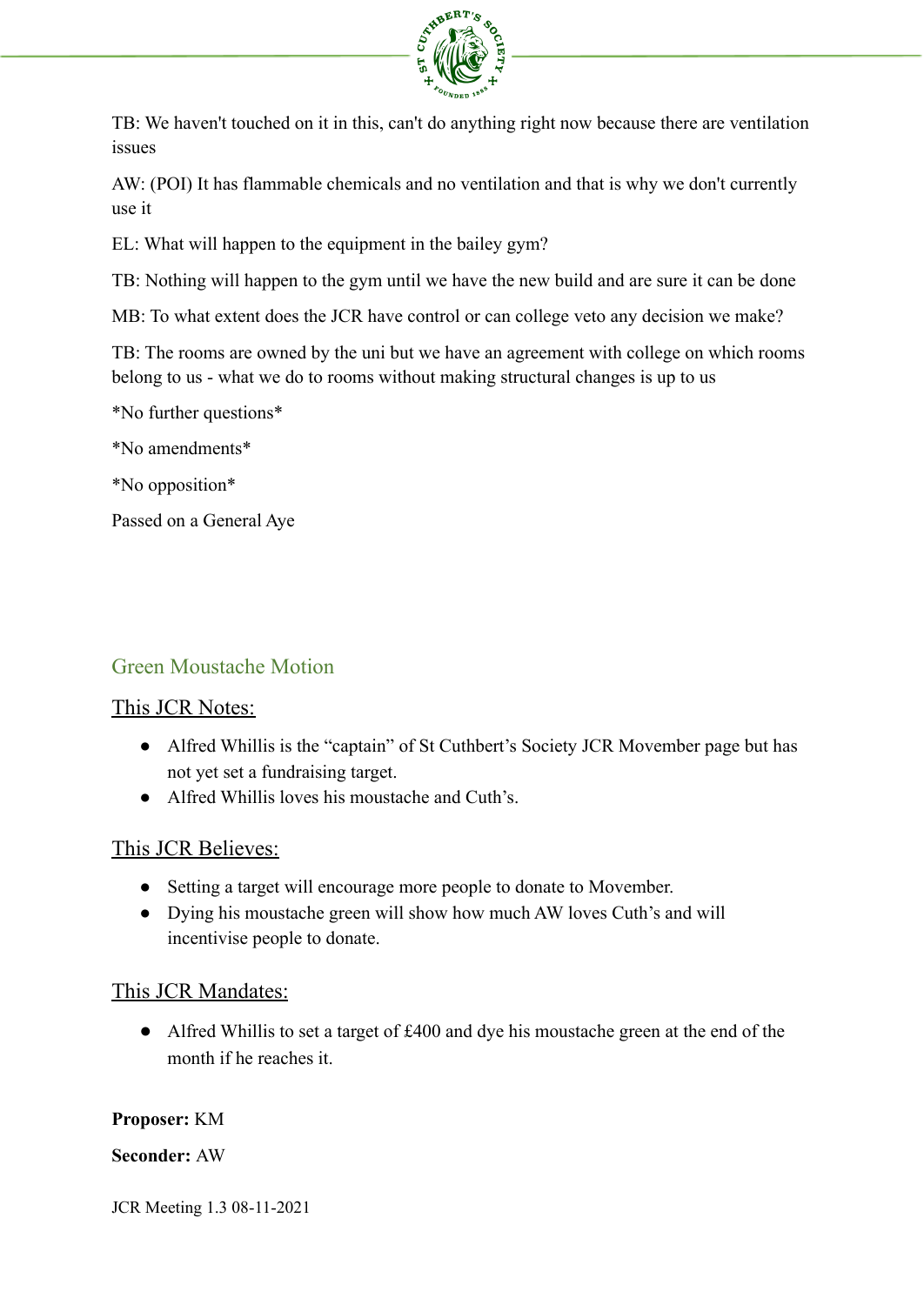

TB: We haven't touched on it in this, can't do anything right now because there are ventilation issues

AW: (POI) It has flammable chemicals and no ventilation and that is why we don't currently use it

EL: What will happen to the equipment in the bailey gym?

TB: Nothing will happen to the gym until we have the new build and are sure it can be done

MB: To what extent does the JCR have control or can college veto any decision we make?

TB: The rooms are owned by the uni but we have an agreement with college on which rooms belong to us - what we do to rooms without making structural changes is up to us

\*No further questions\*

\*No amendments\*

\*No opposition\*

Passed on a General Aye

## Green Moustache Motion

#### This JCR Notes:

- Alfred Whillis is the "captain" of St Cuthbert's Society JCR Movember page but has not yet set a fundraising target.
- Alfred Whillis loves his moustache and Cuth's.

## This JCR Believes:

- Setting a target will encourage more people to donate to Movember.
- Dying his moustache green will show how much AW loves Cuth's and will incentivise people to donate.

## This JCR Mandates:

● Alfred Whillis to set a target of £400 and dye his moustache green at the end of the month if he reaches it.

#### **Proposer:** KM

#### **Seconder:** AW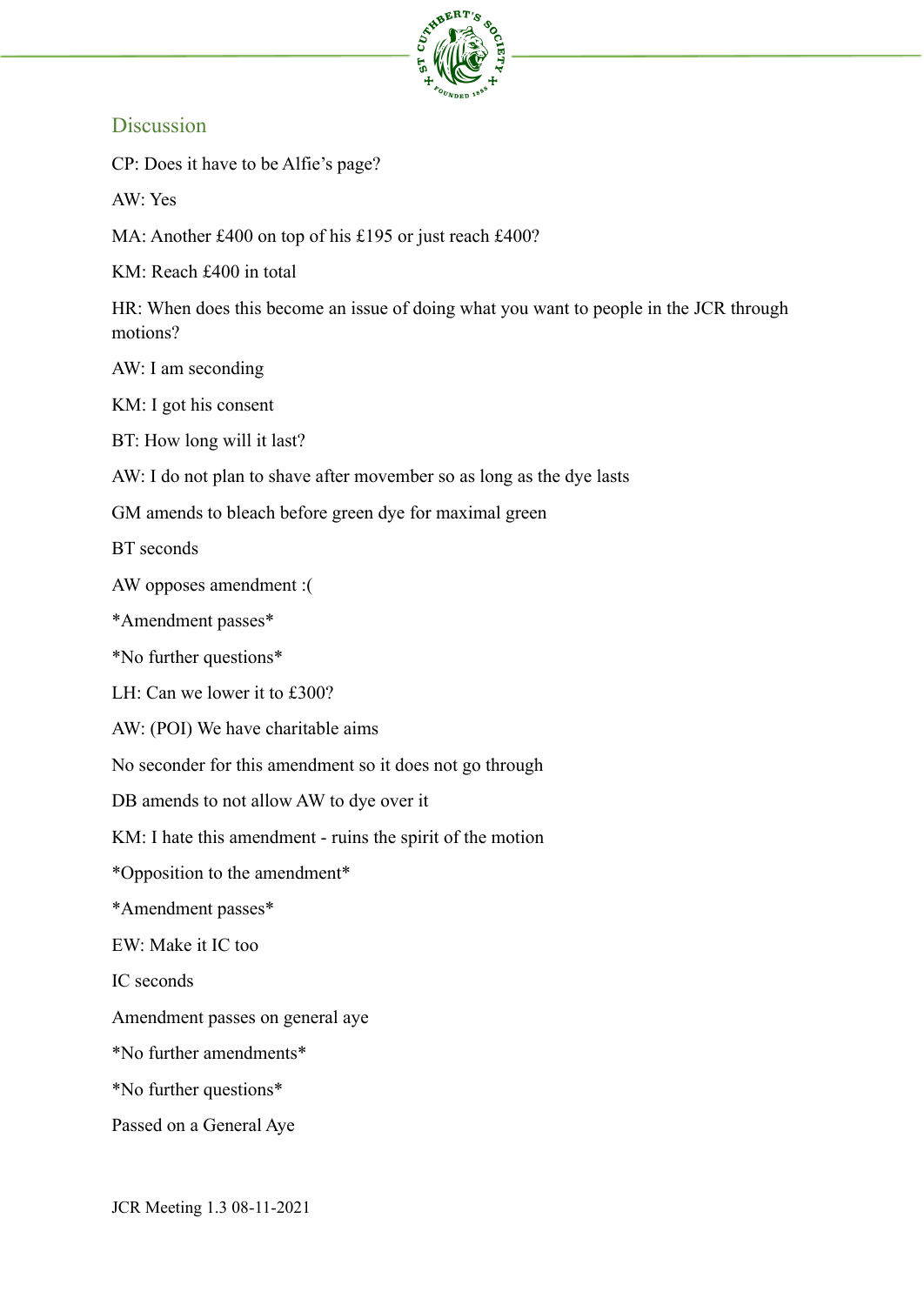

# **Discussion**

CP: Does it have to be Alfie's page?

AW: Yes

MA: Another £400 on top of his £195 or just reach £400?

KM: Reach £400 in total

HR: When does this become an issue of doing what you want to people in the JCR through motions?

AW: I am seconding

KM: I got his consent

BT: How long will it last?

AW: I do not plan to shave after movember so as long as the dye lasts

GM amends to bleach before green dye for maximal green

BT seconds

AW opposes amendment :(

\*Amendment passes\*

\*No further questions\*

LH: Can we lower it to £300?

AW: (POI) We have charitable aims

No seconder for this amendment so it does not go through

DB amends to not allow AW to dye over it

KM: I hate this amendment - ruins the spirit of the motion

\*Opposition to the amendment\*

\*Amendment passes\*

EW: Make it IC too

IC seconds

Amendment passes on general aye

\*No further amendments\*

\*No further questions\*

Passed on a General Aye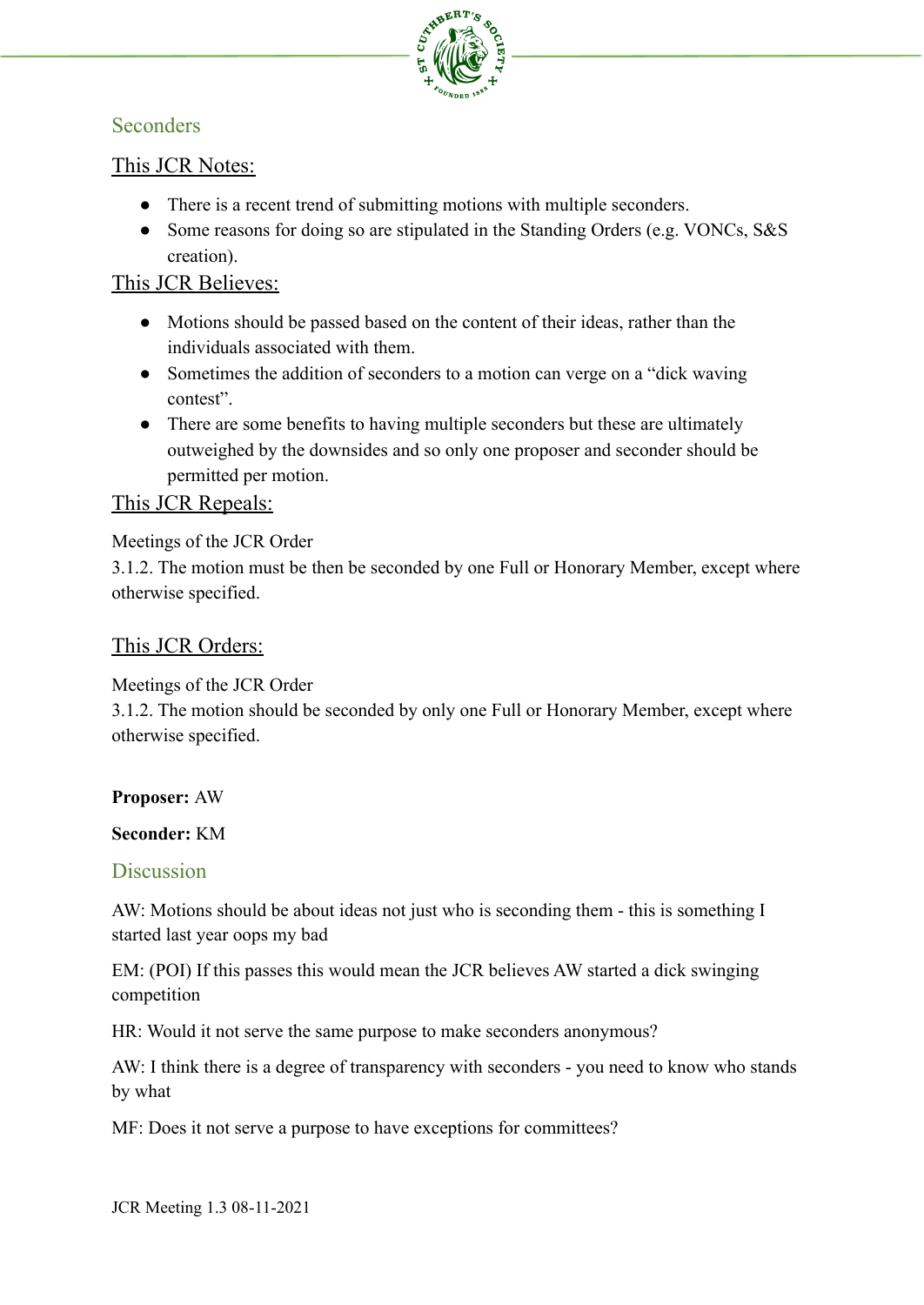

# **Seconders**

# This JCR Notes:

- There is a recent trend of submitting motions with multiple seconders.
- Some reasons for doing so are stipulated in the Standing Orders (e.g. VONCs, S&S) creation).

## This JCR Believes:

- Motions should be passed based on the content of their ideas, rather than the individuals associated with them.
- Sometimes the addition of seconders to a motion can verge on a "dick waving" contest".
- There are some benefits to having multiple seconders but these are ultimately outweighed by the downsides and so only one proposer and seconder should be permitted per motion.

## This JCR Repeals:

### Meetings of the JCR Order

3.1.2. The motion must be then be seconded by one Full or Honorary Member, except where otherwise specified.

# This JCR Orders:

## Meetings of the JCR Order

3.1.2. The motion should be seconded by only one Full or Honorary Member, except where otherwise specified.

#### **Proposer:** AW

#### **Seconder:** KM

## **Discussion**

AW: Motions should be about ideas not just who is seconding them - this is something I started last year oops my bad

EM: (POI) If this passes this would mean the JCR believes AW started a dick swinging competition

HR: Would it not serve the same purpose to make seconders anonymous?

AW: I think there is a degree of transparency with seconders - you need to know who stands by what

MF: Does it not serve a purpose to have exceptions for committees?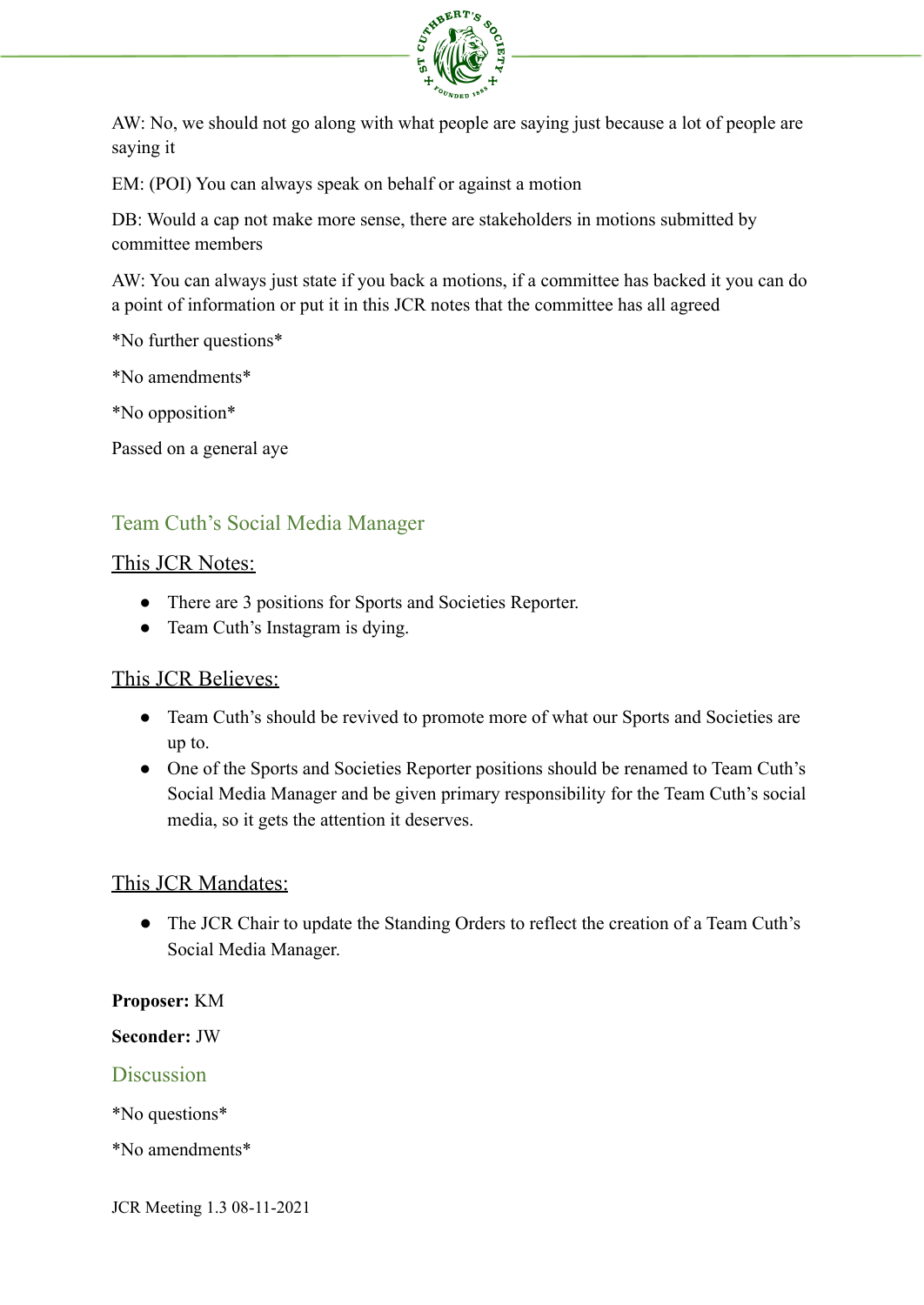

AW: No, we should not go along with what people are saying just because a lot of people are saying it

EM: (POI) You can always speak on behalf or against a motion

DB: Would a cap not make more sense, there are stakeholders in motions submitted by committee members

AW: You can always just state if you back a motions, if a committee has backed it you can do a point of information or put it in this JCR notes that the committee has all agreed

\*No further questions\*

\*No amendments\*

\*No opposition\*

Passed on a general aye

# Team Cuth's Social Media Manager

#### This JCR Notes:

- There are 3 positions for Sports and Societies Reporter.
- Team Cuth's Instagram is dying.

#### This JCR Believes:

- Team Cuth's should be revived to promote more of what our Sports and Societies are up to.
- One of the Sports and Societies Reporter positions should be renamed to Team Cuth's Social Media Manager and be given primary responsibility for the Team Cuth's social media, so it gets the attention it deserves.

#### This JCR Mandates:

● The JCR Chair to update the Standing Orders to reflect the creation of a Team Cuth's Social Media Manager.

#### **Proposer:** KM

#### **Seconder:** JW

#### **Discussion**

\*No questions\*

\*No amendments\*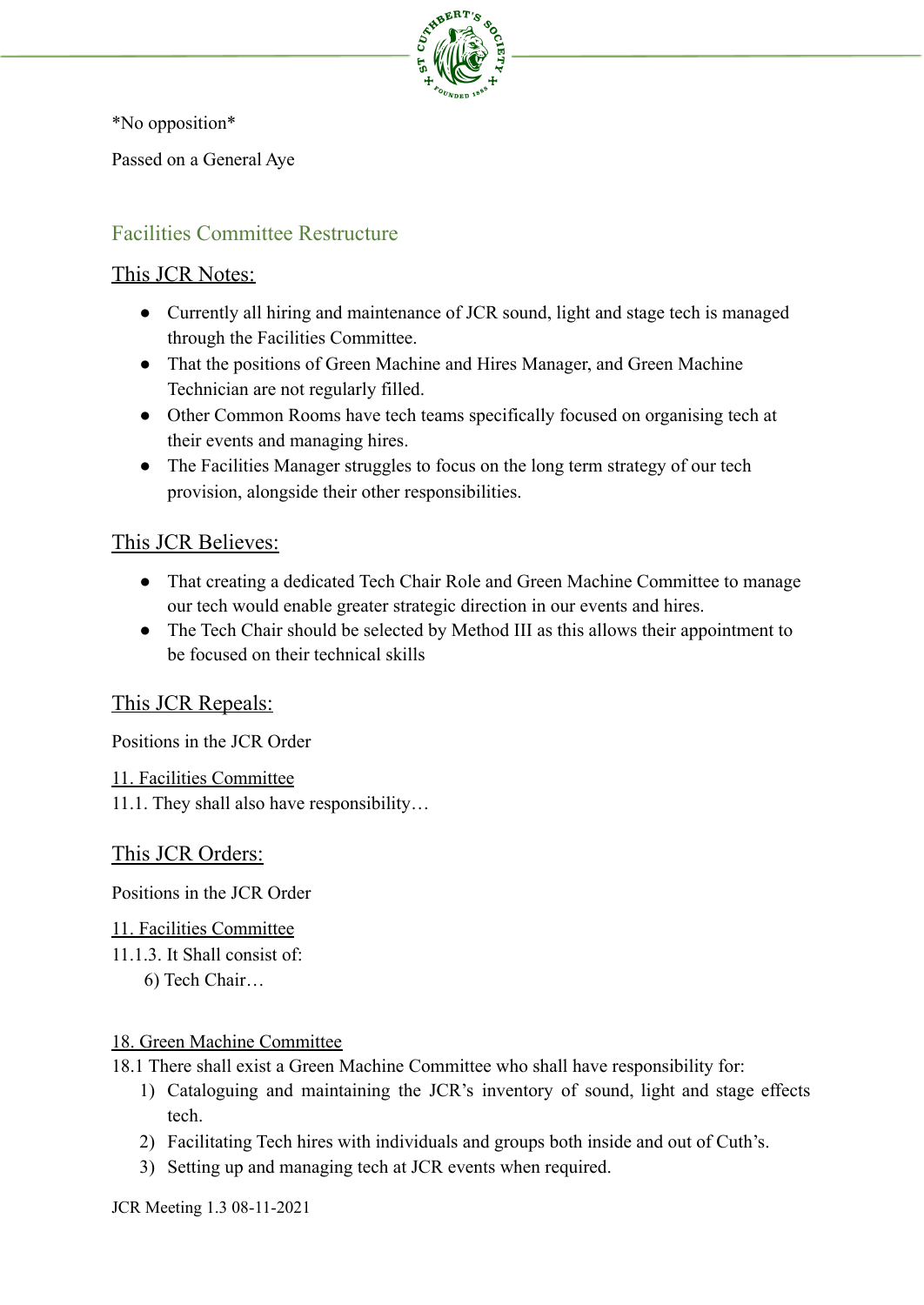

\*No opposition\*

Passed on a General Aye

# Facilities Committee Restructure

### This JCR Notes:

- Currently all hiring and maintenance of JCR sound, light and stage tech is managed through the Facilities Committee.
- That the positions of Green Machine and Hires Manager, and Green Machine Technician are not regularly filled.
- Other Common Rooms have tech teams specifically focused on organising tech at their events and managing hires.
- The Facilities Manager struggles to focus on the long term strategy of our tech provision, alongside their other responsibilities.

# This JCR Believes:

- That creating a dedicated Tech Chair Role and Green Machine Committee to manage our tech would enable greater strategic direction in our events and hires.
- The Tech Chair should be selected by Method III as this allows their appointment to be focused on their technical skills

# This JCR Repeals:

Positions in the JCR Order

11. Facilities Committee

11.1. They shall also have responsibility…

## This JCR Orders:

Positions in the JCR Order

11. Facilities Committee

- 11.1.3. It Shall consist of:
	- 6) Tech Chair…

#### 18. Green Machine Committee

- 18.1 There shall exist a Green Machine Committee who shall have responsibility for:
	- 1) Cataloguing and maintaining the JCR's inventory of sound, light and stage effects tech.
	- 2) Facilitating Tech hires with individuals and groups both inside and out of Cuth's.
	- 3) Setting up and managing tech at JCR events when required.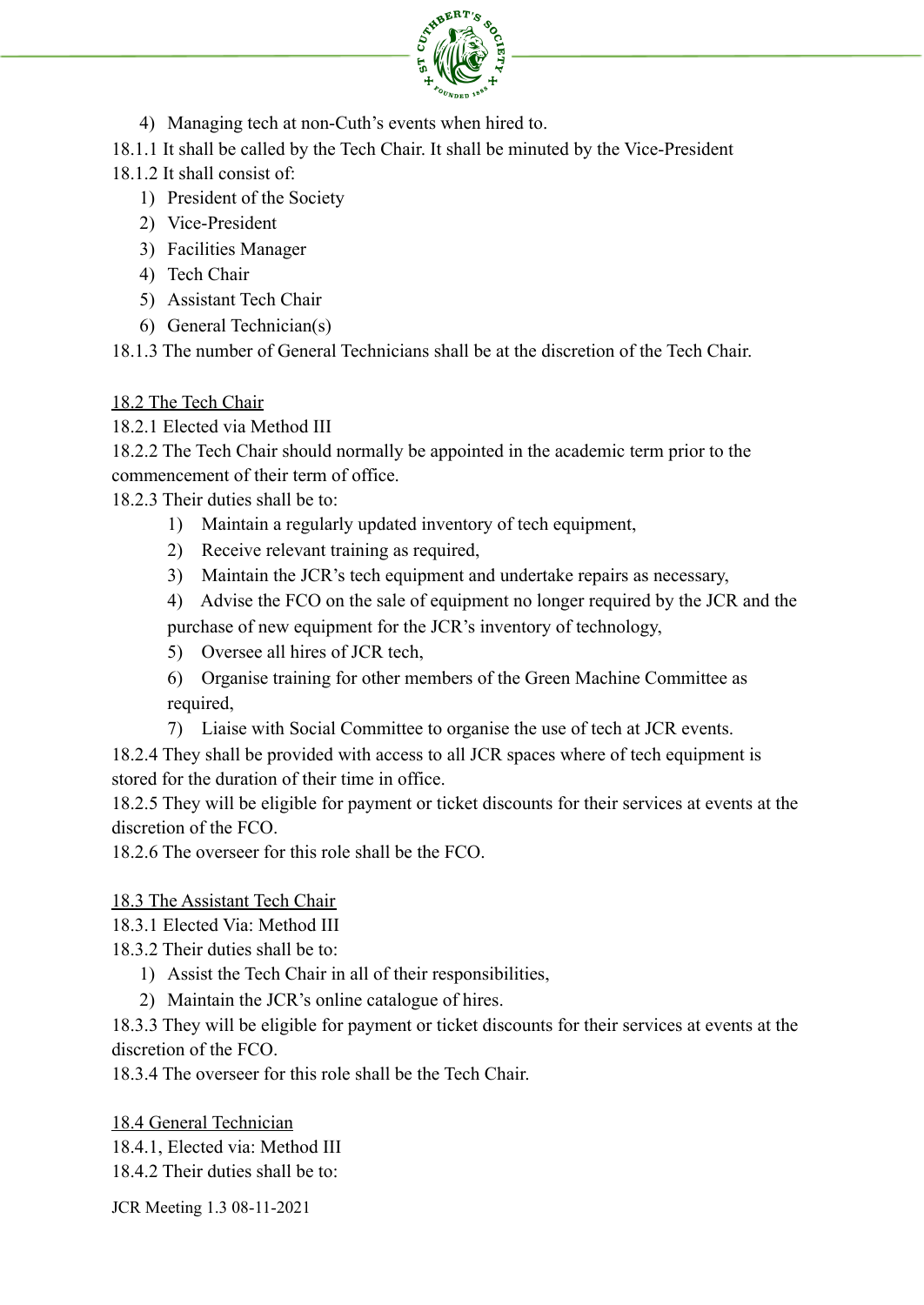

- 4) Managing tech at non-Cuth's events when hired to.
- 18.1.1 It shall be called by the Tech Chair. It shall be minuted by the Vice-President
- 18.1.2 It shall consist of:
	- 1) President of the Society
	- 2) Vice-President
	- 3) Facilities Manager
	- 4) Tech Chair
	- 5) Assistant Tech Chair
	- 6) General Technician(s)

18.1.3 The number of General Technicians shall be at the discretion of the Tech Chair.

18.2 The Tech Chair

18.2.1 Elected via Method III

18.2.2 The Tech Chair should normally be appointed in the academic term prior to the commencement of their term of office.

18.2.3 Their duties shall be to:

- 1) Maintain a regularly updated inventory of tech equipment,
- 2) Receive relevant training as required,
- 3) Maintain the JCR's tech equipment and undertake repairs as necessary,
- 4) Advise the FCO on the sale of equipment no longer required by the JCR and the purchase of new equipment for the JCR's inventory of technology,
- 5) Oversee all hires of JCR tech,
- 6) Organise training for other members of the Green Machine Committee as required,
- 7) Liaise with Social Committee to organise the use of tech at JCR events.

18.2.4 They shall be provided with access to all JCR spaces where of tech equipment is stored for the duration of their time in office.

18.2.5 They will be eligible for payment or ticket discounts for their services at events at the discretion of the FCO.

18.2.6 The overseer for this role shall be the FCO.

# 18.3 The Assistant Tech Chair

18.3.1 Elected Via: Method III

- 18.3.2 Their duties shall be to:
	- 1) Assist the Tech Chair in all of their responsibilities,
	- 2) Maintain the JCR's online catalogue of hires.

18.3.3 They will be eligible for payment or ticket discounts for their services at events at the discretion of the FCO.

18.3.4 The overseer for this role shall be the Tech Chair.

18.4 General Technician

18.4.1, Elected via: Method III

18.4.2 Their duties shall be to: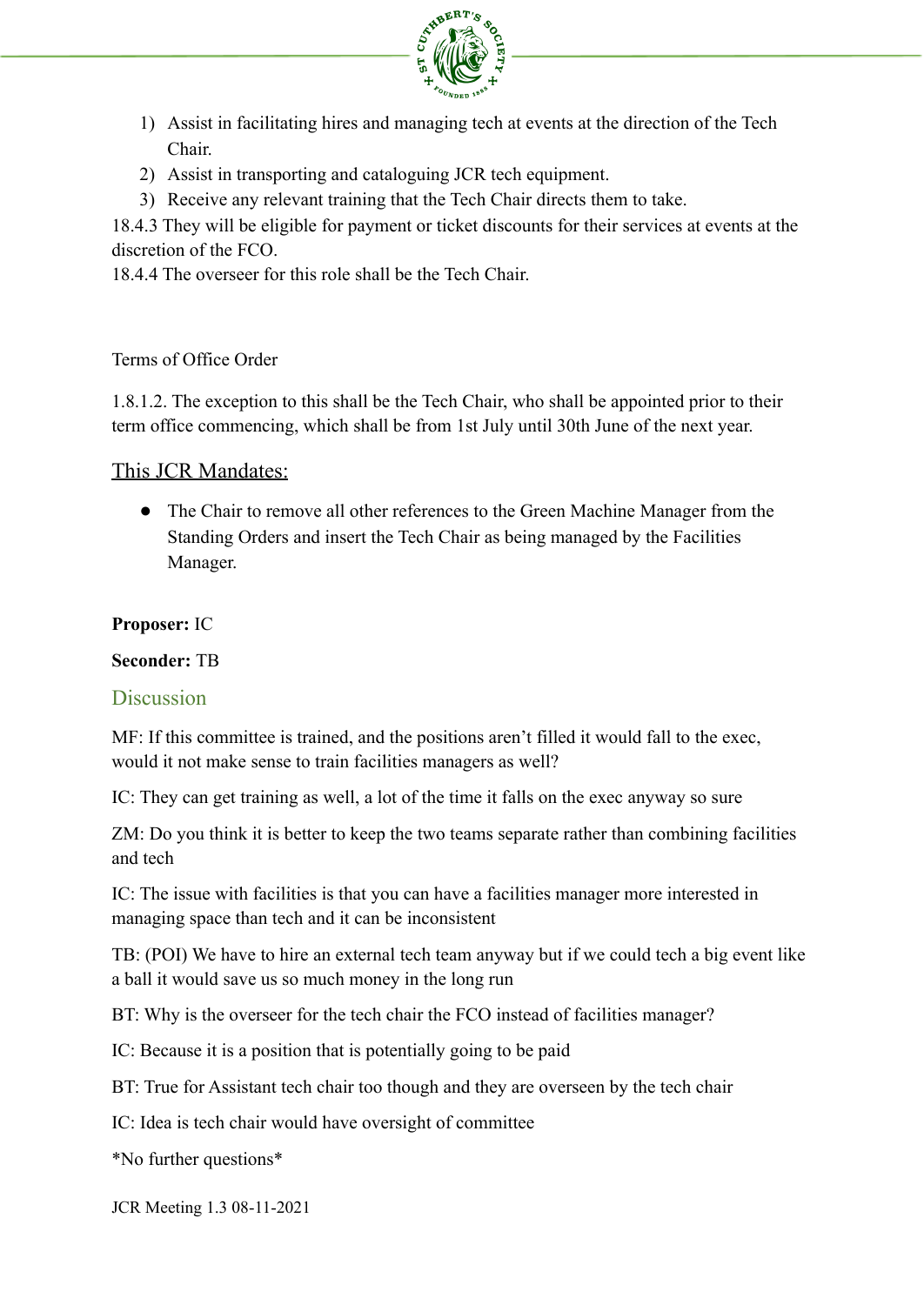

- 1) Assist in facilitating hires and managing tech at events at the direction of the Tech Chair.
- 2) Assist in transporting and cataloguing JCR tech equipment.
- 3) Receive any relevant training that the Tech Chair directs them to take.

18.4.3 They will be eligible for payment or ticket discounts for their services at events at the discretion of the FCO.

18.4.4 The overseer for this role shall be the Tech Chair.

#### Terms of Office Order

1.8.1.2. The exception to this shall be the Tech Chair, who shall be appointed prior to their term office commencing, which shall be from 1st July until 30th June of the next year.

#### This JCR Mandates:

● The Chair to remove all other references to the Green Machine Manager from the Standing Orders and insert the Tech Chair as being managed by the Facilities Manager.

#### **Proposer:** IC

#### **Seconder:** TB

#### **Discussion**

MF: If this committee is trained, and the positions aren't filled it would fall to the exec, would it not make sense to train facilities managers as well?

IC: They can get training as well, a lot of the time it falls on the exec anyway so sure

ZM: Do you think it is better to keep the two teams separate rather than combining facilities and tech

IC: The issue with facilities is that you can have a facilities manager more interested in managing space than tech and it can be inconsistent

TB: (POI) We have to hire an external tech team anyway but if we could tech a big event like a ball it would save us so much money in the long run

BT: Why is the overseer for the tech chair the FCO instead of facilities manager?

IC: Because it is a position that is potentially going to be paid

BT: True for Assistant tech chair too though and they are overseen by the tech chair

IC: Idea is tech chair would have oversight of committee

\*No further questions\*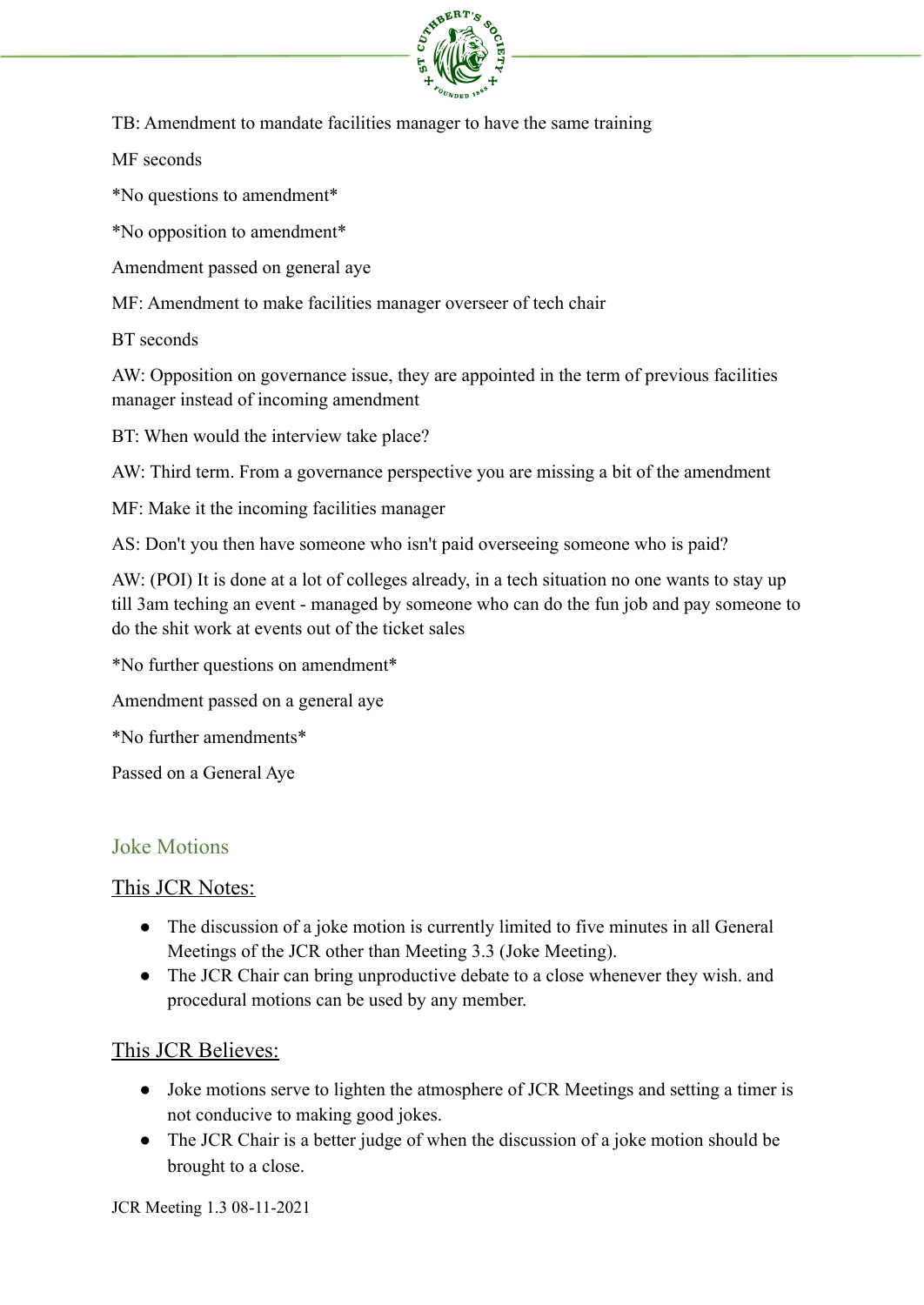

TB: Amendment to mandate facilities manager to have the same training

MF seconds

\*No questions to amendment\*

\*No opposition to amendment\*

Amendment passed on general aye

MF: Amendment to make facilities manager overseer of tech chair

BT seconds

AW: Opposition on governance issue, they are appointed in the term of previous facilities manager instead of incoming amendment

BT: When would the interview take place?

AW: Third term. From a governance perspective you are missing a bit of the amendment

MF: Make it the incoming facilities manager

AS: Don't you then have someone who isn't paid overseeing someone who is paid?

AW: (POI) It is done at a lot of colleges already, in a tech situation no one wants to stay up till 3am teching an event - managed by someone who can do the fun job and pay someone to do the shit work at events out of the ticket sales

\*No further questions on amendment\*

Amendment passed on a general aye

\*No further amendments\*

Passed on a General Aye

## Joke Motions

#### This JCR Notes:

- The discussion of a joke motion is currently limited to five minutes in all General Meetings of the JCR other than Meeting 3.3 (Joke Meeting).
- The JCR Chair can bring unproductive debate to a close whenever they wish, and procedural motions can be used by any member.

#### This JCR Believes:

- Joke motions serve to lighten the atmosphere of JCR Meetings and setting a timer is not conducive to making good jokes.
- The JCR Chair is a better judge of when the discussion of a joke motion should be brought to a close.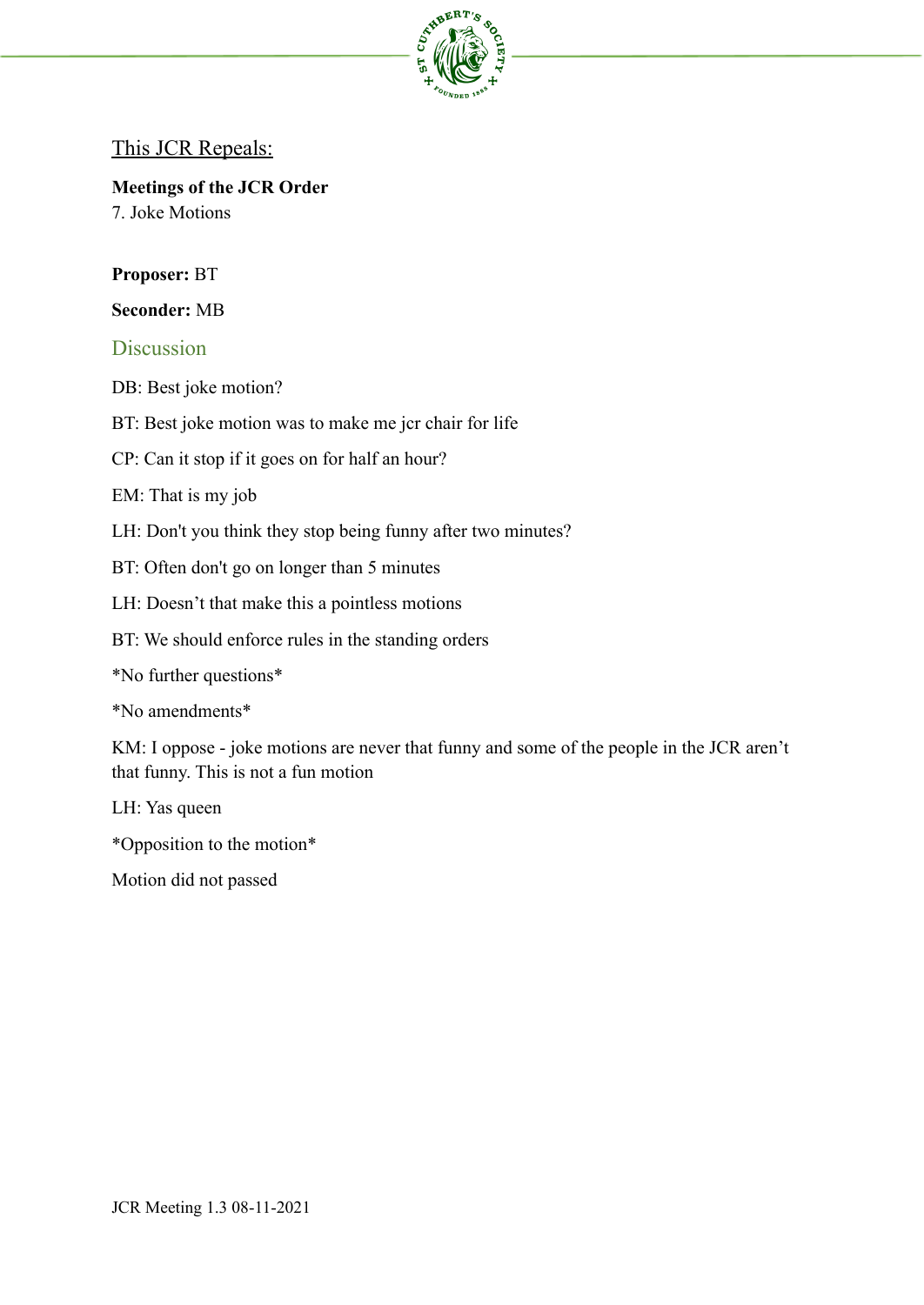

### This JCR Repeals:

**Meetings of the JCR Order** 7. Joke Motions

#### **Proposer:** BT

#### **Seconder:** MB

#### **Discussion**

- DB: Best joke motion?
- BT: Best joke motion was to make me jcr chair for life
- CP: Can it stop if it goes on for half an hour?

#### EM: That is my job

- LH: Don't you think they stop being funny after two minutes?
- BT: Often don't go on longer than 5 minutes
- LH: Doesn't that make this a pointless motions
- BT: We should enforce rules in the standing orders
- \*No further questions\*

\*No amendments\*

KM: I oppose - joke motions are never that funny and some of the people in the JCR aren't that funny. This is not a fun motion

LH: Yas queen

\*Opposition to the motion\*

Motion did not passed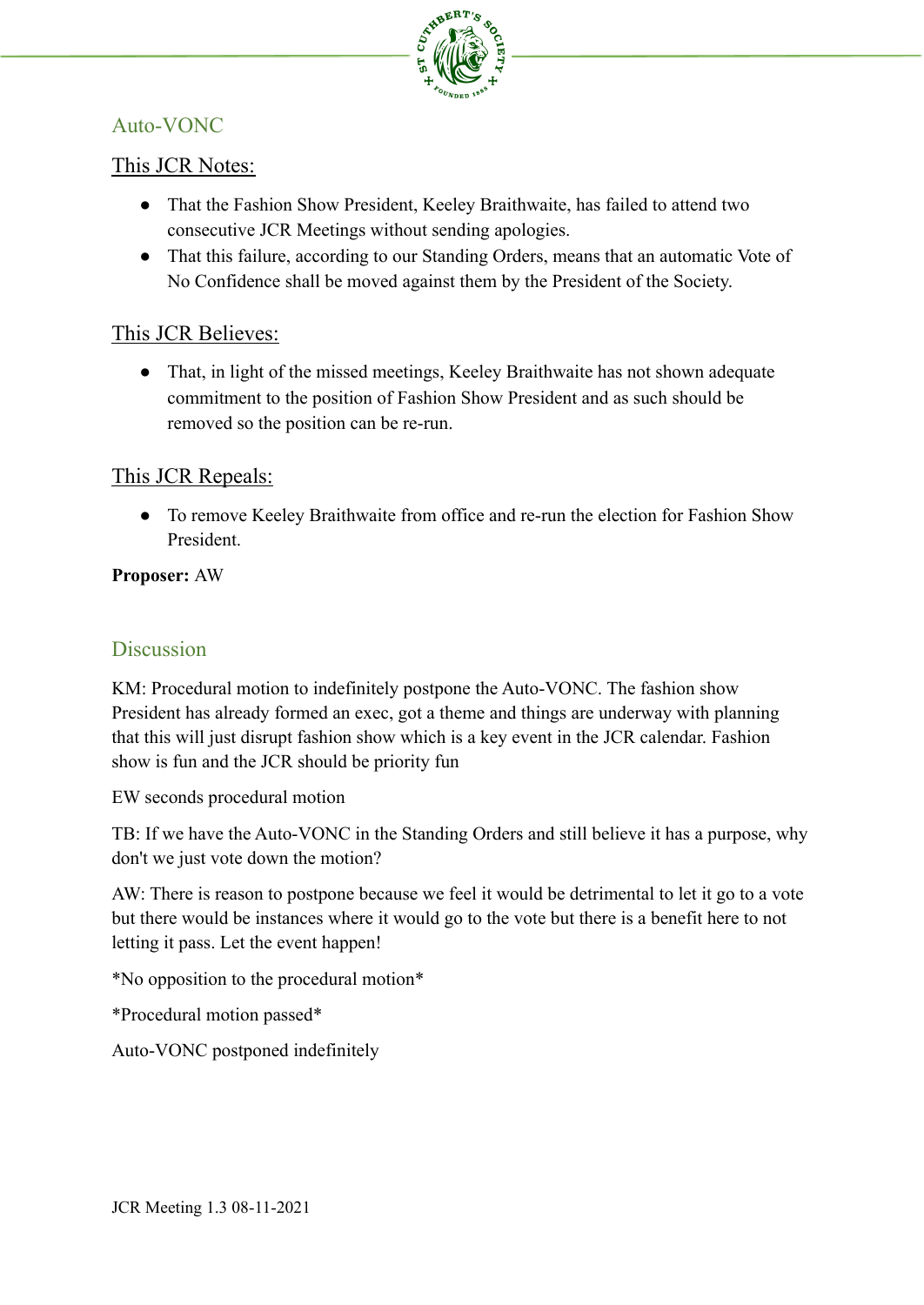

# Auto-VONC

## This JCR Notes:

- That the Fashion Show President, Keeley Braithwaite, has failed to attend two consecutive JCR Meetings without sending apologies.
- That this failure, according to our Standing Orders, means that an automatic Vote of No Confidence shall be moved against them by the President of the Society.

## This JCR Believes:

• That, in light of the missed meetings, Keeley Braithwaite has not shown adequate commitment to the position of Fashion Show President and as such should be removed so the position can be re-run.

## This JCR Repeals:

● To remove Keeley Braithwaite from office and re-run the election for Fashion Show President.

### **Proposer:** AW

# **Discussion**

KM: Procedural motion to indefinitely postpone the Auto-VONC. The fashion show President has already formed an exec, got a theme and things are underway with planning that this will just disrupt fashion show which is a key event in the JCR calendar. Fashion show is fun and the JCR should be priority fun

EW seconds procedural motion

TB: If we have the Auto-VONC in the Standing Orders and still believe it has a purpose, why don't we just vote down the motion?

AW: There is reason to postpone because we feel it would be detrimental to let it go to a vote but there would be instances where it would go to the vote but there is a benefit here to not letting it pass. Let the event happen!

\*No opposition to the procedural motion\*

\*Procedural motion passed\*

Auto-VONC postponed indefinitely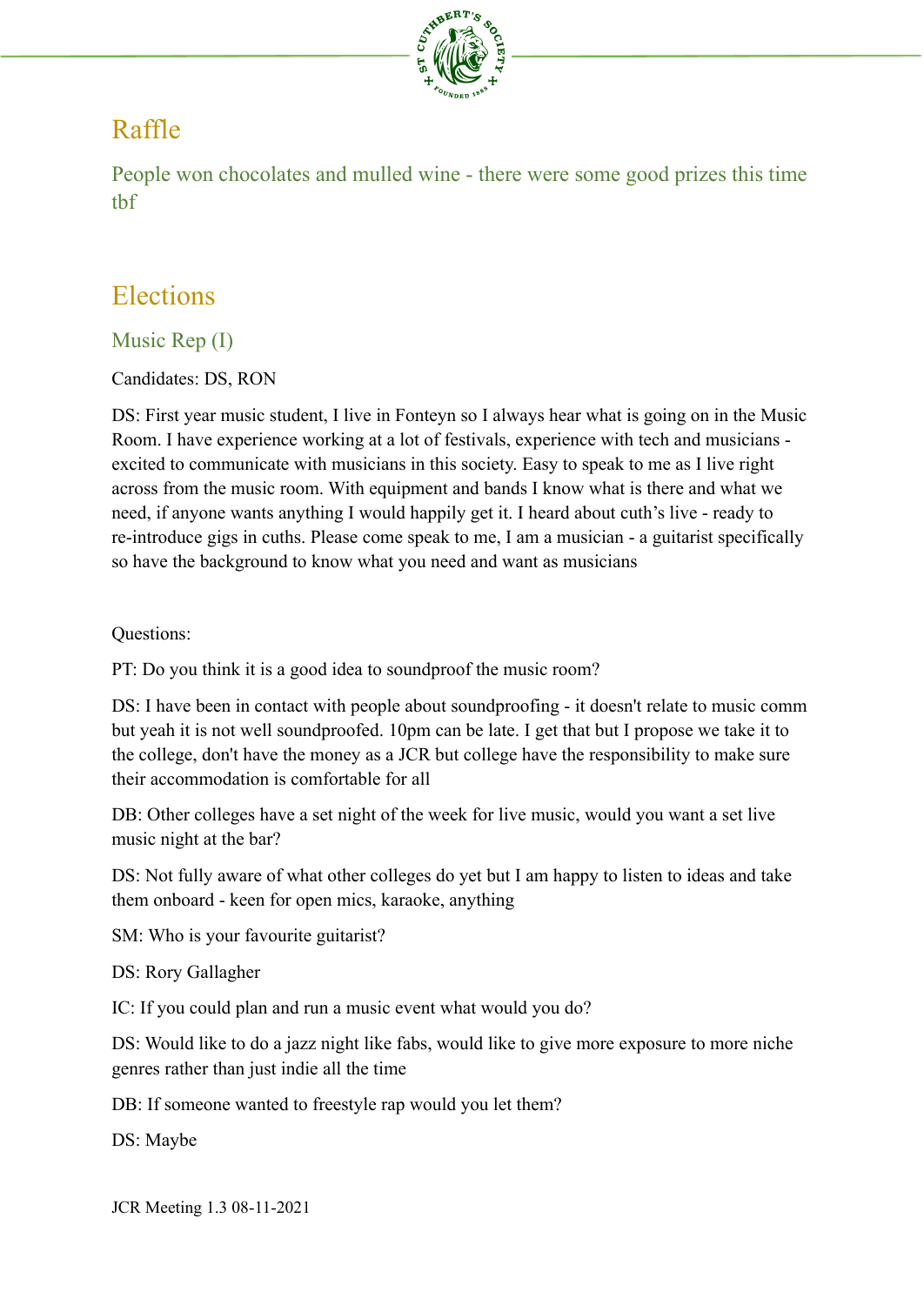

# Raffle

People won chocolates and mulled wine - there were some good prizes this time tbf

# Elections

# Music Rep (I)

Candidates: DS, RON

DS: First year music student, I live in Fonteyn so I always hear what is going on in the Music Room. I have experience working at a lot of festivals, experience with tech and musicians excited to communicate with musicians in this society. Easy to speak to me as I live right across from the music room. With equipment and bands I know what is there and what we need, if anyone wants anything I would happily get it. I heard about cuth's live - ready to re-introduce gigs in cuths. Please come speak to me, I am a musician - a guitarist specifically so have the background to know what you need and want as musicians

Questions:

PT: Do you think it is a good idea to soundproof the music room?

DS: I have been in contact with people about soundproofing - it doesn't relate to music comm but yeah it is not well soundproofed. 10pm can be late. I get that but I propose we take it to the college, don't have the money as a JCR but college have the responsibility to make sure their accommodation is comfortable for all

DB: Other colleges have a set night of the week for live music, would you want a set live music night at the bar?

DS: Not fully aware of what other colleges do yet but I am happy to listen to ideas and take them onboard - keen for open mics, karaoke, anything

SM: Who is your favourite guitarist?

DS: Rory Gallagher

IC: If you could plan and run a music event what would you do?

DS: Would like to do a jazz night like fabs, would like to give more exposure to more niche genres rather than just indie all the time

DB: If someone wanted to freestyle rap would you let them?

DS: Maybe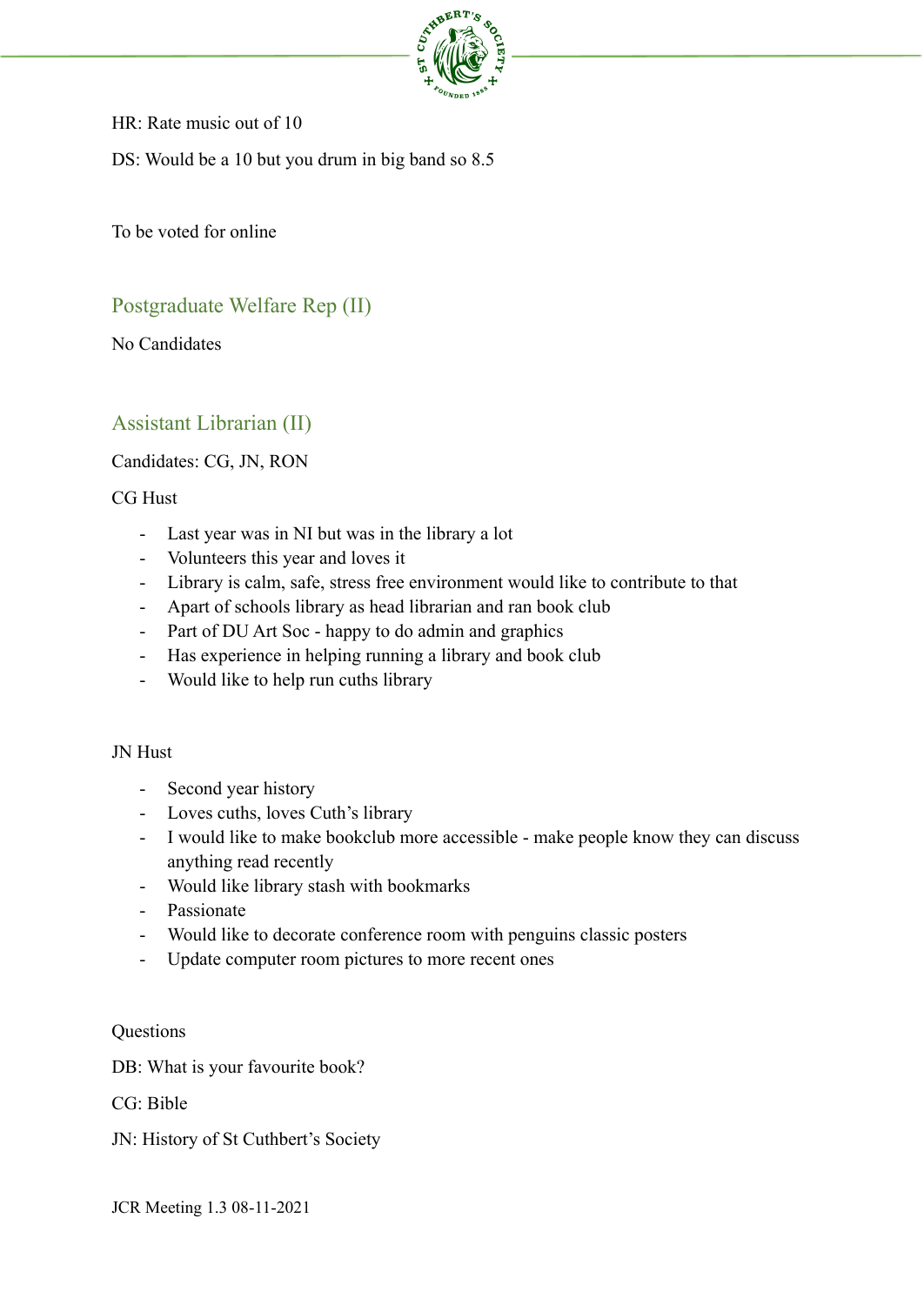

HR: Rate music out of 10

DS: Would be a 10 but you drum in big band so 8.5

To be voted for online

# Postgraduate Welfare Rep (II)

No Candidates

# Assistant Librarian (II)

#### Candidates: CG, JN, RON

#### CG Hust

- Last year was in NI but was in the library a lot
- Volunteers this year and loves it
- Library is calm, safe, stress free environment would like to contribute to that
- Apart of schools library as head librarian and ran book club
- Part of DU Art Soc happy to do admin and graphics
- Has experience in helping running a library and book club
- Would like to help run cuths library

#### JN Hust

- Second year history
- Loves cuths, loves Cuth's library
- I would like to make bookclub more accessible make people know they can discuss anything read recently
- Would like library stash with bookmarks
- Passionate
- Would like to decorate conference room with penguins classic posters
- Update computer room pictures to more recent ones

#### **Questions**

DB: What is your favourite book?

CG: Bible

JN: History of St Cuthbert's Society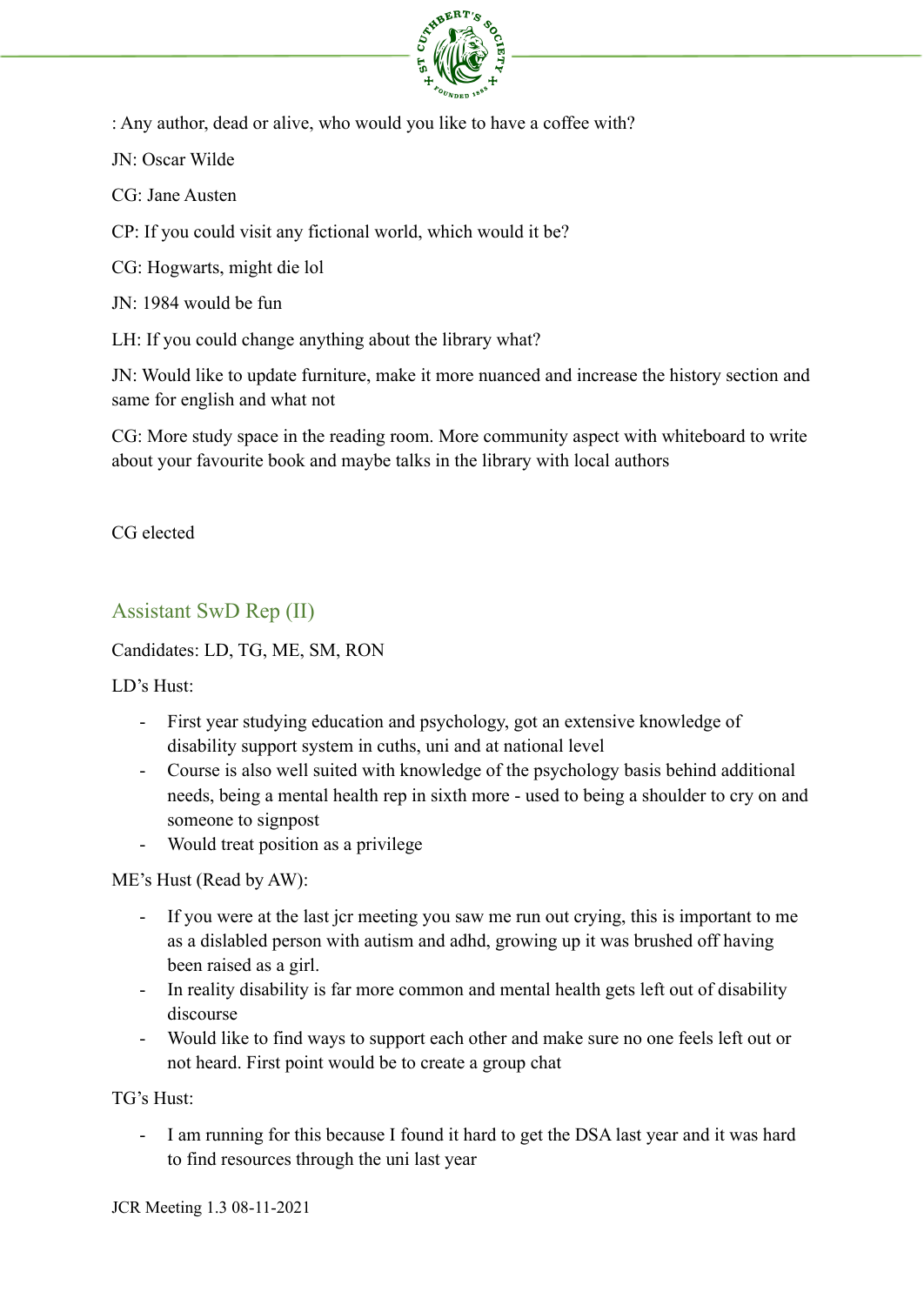

: Any author, dead or alive, who would you like to have a coffee with?

JN: Oscar Wilde

CG: Jane Austen

CP: If you could visit any fictional world, which would it be?

CG: Hogwarts, might die lol

JN: 1984 would be fun

LH: If you could change anything about the library what?

JN: Would like to update furniture, make it more nuanced and increase the history section and same for english and what not

CG: More study space in the reading room. More community aspect with whiteboard to write about your favourite book and maybe talks in the library with local authors

CG elected

Assistant SwD Rep (II)

Candidates: LD, TG, ME, SM, RON

LD's Hust:

- First year studying education and psychology, got an extensive knowledge of disability support system in cuths, uni and at national level
- Course is also well suited with knowledge of the psychology basis behind additional needs, being a mental health rep in sixth more - used to being a shoulder to cry on and someone to signpost
- Would treat position as a privilege

ME's Hust (Read by AW):

- If you were at the last jcr meeting you saw me run out crying, this is important to me as a dislabled person with autism and adhd, growing up it was brushed off having been raised as a girl.
- In reality disability is far more common and mental health gets left out of disability discourse
- Would like to find ways to support each other and make sure no one feels left out or not heard. First point would be to create a group chat

TG's Hust:

- I am running for this because I found it hard to get the DSA last year and it was hard to find resources through the uni last year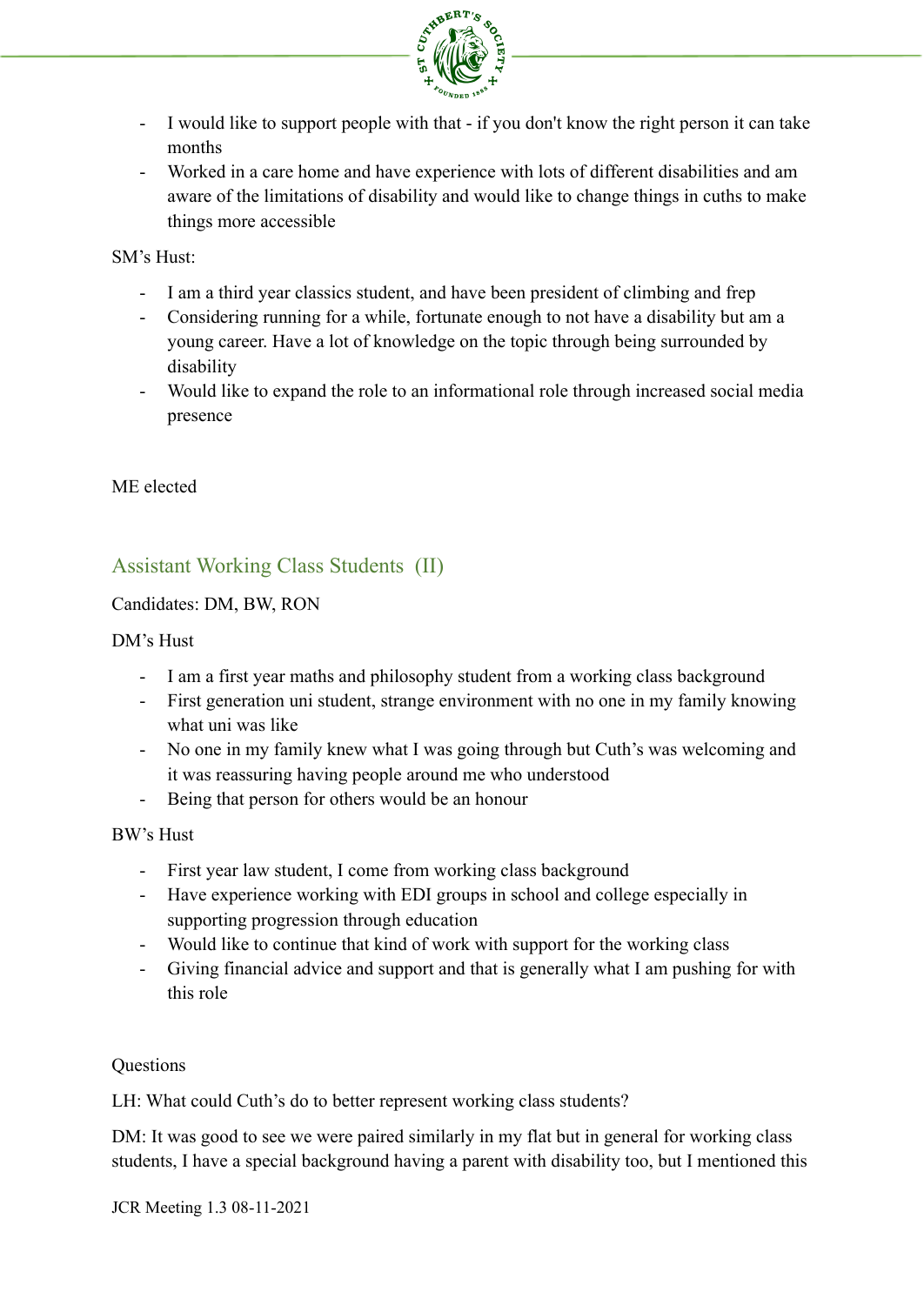

- I would like to support people with that if you don't know the right person it can take months
- Worked in a care home and have experience with lots of different disabilities and am aware of the limitations of disability and would like to change things in cuths to make things more accessible

SM's Hust:

- I am a third year classics student, and have been president of climbing and frep
- Considering running for a while, fortunate enough to not have a disability but am a young career. Have a lot of knowledge on the topic through being surrounded by disability
- Would like to expand the role to an informational role through increased social media presence

ME elected

# Assistant Working Class Students (II)

Candidates: DM, BW, RON

#### DM's Hust

- I am a first year maths and philosophy student from a working class background
- First generation uni student, strange environment with no one in my family knowing what uni was like
- No one in my family knew what I was going through but Cuth's was welcoming and it was reassuring having people around me who understood
- Being that person for others would be an honour

BW's Hust

- First year law student, I come from working class background
- Have experience working with EDI groups in school and college especially in supporting progression through education
- Would like to continue that kind of work with support for the working class
- Giving financial advice and support and that is generally what I am pushing for with this role

#### **Questions**

LH: What could Cuth's do to better represent working class students?

DM: It was good to see we were paired similarly in my flat but in general for working class students, I have a special background having a parent with disability too, but I mentioned this